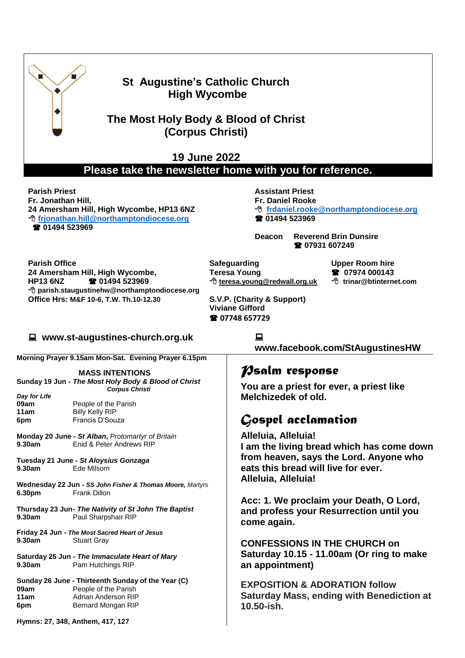

### **St Augustine's Catholic Church High Wycombe**

**The Most Holy Body & Blood of Christ (Corpus Christi)**

**19 June 2022**

**Please take the newsletter home with you for reference.**

**Parish Priest Fr. Jonathan Hill, 24 Amersham Hill, High Wycombe, HP13 6NZ [frjonathan.hill@northamptondiocese.org](mailto:frjonathan.hill@northamptondiocese.org) 01494 523969**

**Assistant Priest** 

**Fr. Daniel Rooke**

 **[frdaniel.rooke@northamptondiocese.org](mailto:frdaniel.rooke@northamptondiocese.org) 01494 523969**

**Deacon Reverend Brin Dunsire 07931 607249**

**Parish Office 24 Amersham Hill, High Wycombe, HP13 6NZ 01494 523969 parish.staugustinehw@northamptondiocese.org Office Hrs: M&F 10-6, T.W. Th.10-12.30** 

**Safeguarding Teresa Young [teresa.young@redwall.org.uk](mailto:teresa.young@redwall.org.uk)**

**Upper Room hire 07974 000143 trinar@btinternet.com**

**S.V.P. (Charity & Support) Viviane Gifford 07748 657729**

#### **www.st-augustines-church.org.uk**

**Morning Prayer 9.15am Mon-Sat. Evening Prayer 6.15pm**

**MASS INTENTIONS Sunday 19 Jun -** *The Most Holy Body & Blood of Christ*

*Day for Life* **11am** Billy Kelly RIP **6pm** Francis D'Souza

*Corpus Christi* People of the Parish

**Monday 20 June -** *St Alban***,** *Protomartyr of Britain* **9.30am** Enid & Peter Andrews RIP

**Tuesday 21 June -** *St Aloysius Gonzaga* **9.30am** Ede Milsom

**Wednesday 22 Jun -** *SS John Fisher & Thomas Moore, Martyrs* **6.30pm** Frank Dillon

**Thursday 23 Jun-** *The Nativity of St John The Baptist* **9.30am** Paul Sharpshair RIP

**Friday 24 Jun -** *The Most Sacred Heart of Jesus* **9.30am** Stuart Gray

**Saturday 25 Jun -** *The Immaculate Heart of Mary* **9.30am** Pam Hutchings RIP

**Sunday 26 June - Thirteenth Sunday of the Year (C) 09am** People of the Parish **11am** Adrian Anderson RIP **6pm** Bernard Mongan RIP

**[www.facebook.com/StAugustinesHW](http://www.facebook.com/StAugustinesHW)**

# *Psalm response*

**You are a priest for ever, a priest like Melchizedek of old.**

# *Gospel acclamation*

**Alleluia, Alleluia! I am the living bread which has come down from heaven, says the Lord. Anyone who eats this bread will live for ever. Alleluia, Alleluia!**

**Acc: 1. We proclaim your Death, O Lord, and profess your Resurrection until you come again.**

**CONFESSIONS IN THE CHURCH on Saturday 10.15 - 11.00am (Or ring to make an appointment)**

**EXPOSITION & ADORATION follow Saturday Mass, ending with Benediction at 10.50-ish.**

**Hymns: 27, 348, Anthem, 417, 127**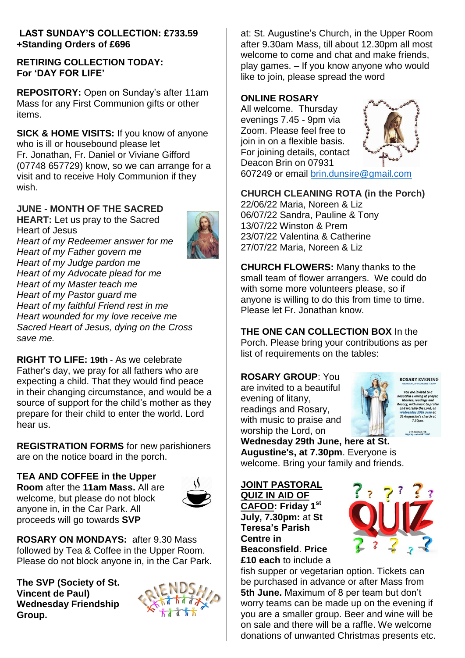#### **LAST SUNDAY'S COLLECTION: £733.59 +Standing Orders of £696**

#### **RETIRING COLLECTION TODAY: For 'DAY FOR LIFE'**

**REPOSITORY:** Open on Sunday's after 11am Mass for any First Communion gifts or other items.

**SICK & HOME VISITS:** If you know of anyone who is ill or housebound please let Fr. Jonathan, Fr. Daniel or Viviane Gifford (07748 657729) know, so we can arrange for a visit and to receive Holy Communion if they wish.

### **JUNE - MONTH OF THE SACRED**

**HEART:** Let us pray to the Sacred Heart of Jesus *Heart of my Redeemer answer for me Heart of my Father govern me Heart of my Judge pardon me Heart of my Advocate plead for me Heart of my Master teach me Heart of my Pastor guard me Heart of my faithful Friend rest in me*

*Heart wounded for my love receive me Sacred Heart of Jesus, dying on the Cross save me.*

**RIGHT TO LIFE: 19th** - As we celebrate Father's day, we pray for all fathers who are expecting a child. That they would find peace in their changing circumstance, and would be a source of support for the child's mother as they prepare for their child to enter the world. Lord hear us.

**REGISTRATION FORMS** for new parishioners are on the notice board in the porch.

#### **TEA AND COFFEE in the Upper**

**Room** after the **11am Mass.** All are welcome, but please do not block anyone in, in the Car Park. All proceeds will go towards **SVP**



**ROSARY ON MONDAYS:** after 9.30 Mass followed by Tea & Coffee in the Upper Room. Please do not block anyone in, in the Car Park.

**The SVP (Society of St. Vincent de Paul) Wednesday Friendship Group.**



at: St. Augustine's Church, in the Upper Room after 9.30am Mass, till about 12.30pm all most welcome to come and chat and make friends, play games. – If you know anyone who would like to join, please spread the word

#### **ONLINE ROSARY**

All welcome. Thursday evenings 7.45 - 9pm via Zoom. Please feel free to join in on a flexible basis. For joining details, contact Deacon Brin on 07931



607249 or email [brin.dunsire@gmail.com](mailto:brin.dunsire@gmail.com)

### **CHURCH CLEANING ROTA (in the Porch)**

22/06/22 Maria, Noreen & Liz 06/07/22 Sandra, Pauline & Tony 13/07/22 Winston & Prem 23/07/22 Valentina & Catherine 27/07/22 Maria, Noreen & Liz

**CHURCH FLOWERS:** Many thanks to the small team of flower arrangers. We could do with some more volunteers please, so if anyone is willing to do this from time to time. Please let Fr. Jonathan know.

**THE ONE CAN COLLECTION BOX** In the Porch. Please bring your contributions as per list of requirements on the tables:

#### **ROSARY GROUP**: You

are invited to a beautiful evening of litany, readings and Rosary, with music to praise and worship the Lord, on



**Wednesday 29th June, here at St. Augustine's, at 7.30pm**. Everyone is welcome. Bring your family and friends.

**JOINT PASTORAL QUIZ IN AID OF CAFOD: Friday 1 st July, 7.30pm:** at **St Teresa's Parish Centre in Beaconsfield**. **Price £10 each** to include a



fish supper or vegetarian option. Tickets can be purchased in advance or after Mass from **5th June.** Maximum of 8 per team but don't worry teams can be made up on the evening if you are a smaller group. Beer and wine will be on sale and there will be a raffle. We welcome donations of unwanted Christmas presents etc.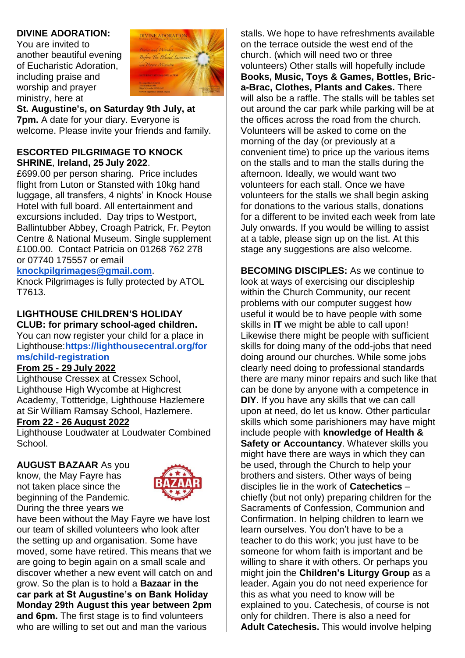#### **DIVINE ADORATION:**

You are invited to another beautiful evening of Eucharistic Adoration, including praise and worship and prayer ministry, here at



**St. Augustine's, on Saturday 9th July, at 7pm.** A date for your diary. Everyone is welcome. Please invite your friends and family.

#### **ESCORTED PILGRIMAGE TO KNOCK SHRINE**, **Ireland, 25 July 2022**.

£699.00 per person sharing. Price includes flight from Luton or Stansted with 10kg hand luggage, all transfers, 4 nights' in Knock House Hotel with full board. All entertainment and excursions included. Day trips to Westport, Ballintubber Abbey, Croagh Patrick, Fr. Peyton Centre & National Museum. Single supplement £100.00. Contact Patricia on 01268 762 278 or 07740 175557 or email

#### **[knockpilgrimages@gmail.com](mailto:patricia@gotrouvaille.com)**.

Knock Pilgrimages is fully protected by ATOL T7613.

### **LIGHTHOUSE CHILDREN'S HOLIDAY CLUB: for primary school-aged children.**

You can now register your child for a place in Lighthouse:**[https://lighthousecentral.org/for](https://lighthousecentral.org/forms/child-registration) [ms/child-registration](https://lighthousecentral.org/forms/child-registration)**

#### **From 25 - 29 July 2022**

Lighthouse Cressex at Cressex School, Lighthouse High Wycombe at Highcrest Academy, Tottteridge, Lighthouse Hazlemere at Sir William Ramsay School, Hazlemere.

#### **From 22 - 26 August 2022**

Lighthouse Loudwater at Loudwater Combined **School.** 

### **AUGUST BAZAAR** As you

know, the May Fayre has not taken place since the beginning of the Pandemic. During the three years we



have been without the May Fayre we have lost our team of skilled volunteers who look after the setting up and organisation. Some have moved, some have retired. This means that we are going to begin again on a small scale and discover whether a new event will catch on and grow. So the plan is to hold a **Bazaar in the car park at St Augustine's on Bank Holiday Monday 29th August this year between 2pm and 6pm.** The first stage is to find volunteers who are willing to set out and man the various

stalls. We hope to have refreshments available on the terrace outside the west end of the church. (which will need two or three volunteers) Other stalls will hopefully include **Books, Music, Toys & Games, Bottles, Brica-Brac, Clothes, Plants and Cakes.** There will also be a raffle. The stalls will be tables set out around the car park while parking will be at the offices across the road from the church. Volunteers will be asked to come on the morning of the day (or previously at a convenient time) to price up the various items on the stalls and to man the stalls during the afternoon. Ideally, we would want two volunteers for each stall. Once we have volunteers for the stalls we shall begin asking for donations to the various stalls, donations for a different to be invited each week from late July onwards. If you would be willing to assist at a table, please sign up on the list. At this stage any suggestions are also welcome.

**BECOMING DISCIPLES:** As we continue to look at ways of exercising our discipleship within the Church Community, our recent problems with our computer suggest how useful it would be to have people with some skills in **IT** we might be able to call upon! Likewise there might be people with sufficient skills for doing many of the odd-jobs that need doing around our churches. While some jobs clearly need doing to professional standards there are many minor repairs and such like that can be done by anyone with a competence in **DIY**. If you have any skills that we can call upon at need, do let us know. Other particular skills which some parishioners may have might include people with **knowledge of Health & Safety or Accountancy**. Whatever skills you might have there are ways in which they can be used, through the Church to help your brothers and sisters. Other ways of being disciples lie in the work of **Catechetics** – chiefly (but not only) preparing children for the Sacraments of Confession, Communion and Confirmation. In helping children to learn we learn ourselves. You don't have to be a teacher to do this work; you just have to be someone for whom faith is important and be willing to share it with others. Or perhaps you might join the **Children's Liturgy Group** as a leader. Again you do not need experience for this as what you need to know will be explained to you. Catechesis, of course is not only for children. There is also a need for **Adult Catechesis.** This would involve helping